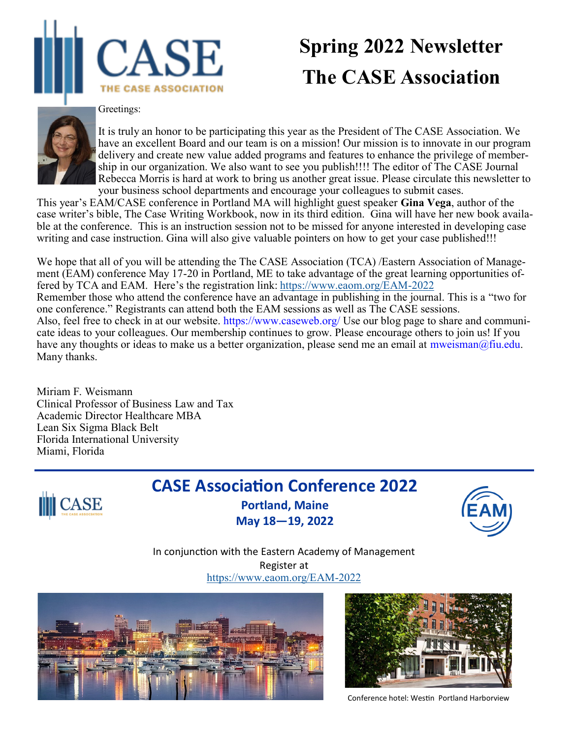

# **Spring 2022 Newsletter The CASE Association**

#### Greetings:



It is truly an honor to be participating this year as the President of The CASE Association. We have an excellent Board and our team is on a mission! Our mission is to innovate in our program delivery and create new value added programs and features to enhance the privilege of membership in our organization. We also want to see you publish!!!! The editor of The CASE Journal Rebecca Morris is hard at work to bring us another great issue. Please circulate this newsletter to your business school departments and encourage your colleagues to submit cases.

This year's EAM/CASE conference in Portland MA will highlight guest speaker **Gina Vega**, author of the case writer's bible, The Case Writing Workbook, now in its third edition. Gina will have her new book available at the conference. This is an instruction session not to be missed for anyone interested in developing case writing and case instruction. Gina will also give valuable pointers on how to get your case published!!!

We hope that all of you will be attending the The CASE Association (TCA) /Eastern Association of Management (EAM) conference May 17-20 in Portland, ME to take advantage of the great learning opportunities offered by TCA and EAM. Here's the registration link: [https://www.eaom.org/EAM](https://www.eaom.org/EAM-2022)-2022 Remember those who attend the conference have an advantage in publishing in the journal. This is a "two for one conference." Registrants can attend both the EAM sessions as well as The CASE sessions. Also, feel free to check in at our website. https://www.caseweb.org/ Use our blog page to share and communicate ideas to your colleagues. Our membership continues to grow. Please encourage others to join us! If you have any thoughts or ideas to make us a better organization, please send me an email at mweisman@fiu.edu. Many thanks.

Miriam F. Weismann Clinical Professor of Business Law and Tax Academic Director Healthcare MBA Lean Six Sigma Black Belt Florida International University Miami, Florida



# **CASE Association Conference 2022 Portland, Maine**

**May 18—19, 2022**



In conjunction with the Eastern Academy of Management Register at [https://www.eaom.org/EAM](https://www.eaom.org/EAM-2022)-2022





Conference hotel: Westin Portland Harborview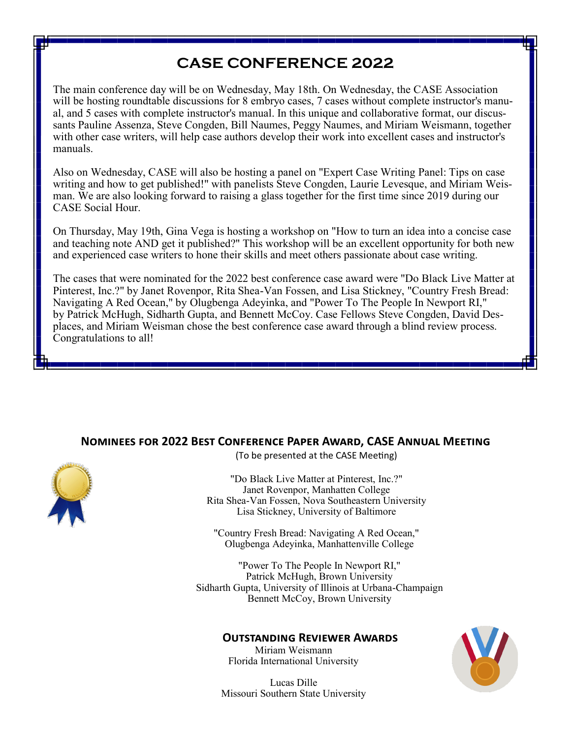# **CASE CONFERENCE 2022**

The main conference day will be on Wednesday, May 18th. On Wednesday, the CASE Association will be hosting roundtable discussions for 8 embryo cases, 7 cases without complete instructor's manual, and 5 cases with complete instructor's manual. In this unique and collaborative format, our discussants Pauline Assenza, Steve Congden, Bill Naumes, Peggy Naumes, and Miriam Weismann, together with other case writers, will help case authors develop their work into excellent cases and instructor's manuals.

Also on Wednesday, CASE will also be hosting a panel on "Expert Case Writing Panel: Tips on case writing and how to get published!" with panelists Steve Congden, Laurie Levesque, and Miriam Weisman. We are also looking forward to raising a glass together for the first time since 2019 during our CASE Social Hour.

On Thursday, May 19th, Gina Vega is hosting a workshop on "How to turn an idea into a concise case and teaching note AND get it published?" This workshop will be an excellent opportunity for both new and experienced case writers to hone their skills and meet others passionate about case writing.

The cases that were nominated for the 2022 best conference case award were "Do Black Live Matter at Pinterest, Inc.?" by Janet Rovenpor, Rita Shea-Van Fossen, and Lisa Stickney, "Country Fresh Bread: Navigating A Red Ocean," by Olugbenga Adeyinka, and "Power To The People In Newport RI," by Patrick McHugh, Sidharth Gupta, and Bennett McCoy. Case Fellows Steve Congden, David Desplaces, and Miriam Weisman chose the best conference case award through a blind review process. Congratulations to all!

### **Nominees for 2022 Best Conference Paper Award, CASE Annual Meeting**



(To be presented at the CASE Meeting)

"Do Black Live Matter at Pinterest, Inc.?" Janet Rovenpor, Manhatten College Rita Shea-Van Fossen, Nova Southeastern University Lisa Stickney, University of Baltimore

"Country Fresh Bread: Navigating A Red Ocean," Olugbenga Adeyinka, Manhattenville College

"Power To The People In Newport RI," Patrick McHugh, Brown University Sidharth Gupta, University of Illinois at Urbana-Champaign Bennett McCoy, Brown University

#### **Outstanding Reviewer Awards**

Miriam Weismann Florida International University

Lucas Dille Missouri Southern State University